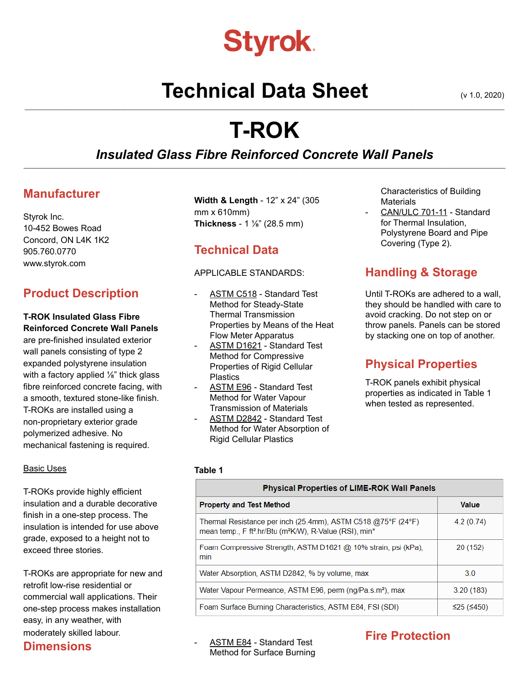# **Styrok.**

## **Technical Data Sheet** (v 1.0, 2020)

## **T-ROK**

**\_\_\_\_\_\_\_\_\_\_\_\_\_\_\_\_\_\_\_\_\_\_\_\_\_\_\_\_\_\_\_\_\_\_\_\_\_\_\_\_\_\_\_\_\_\_\_\_\_\_\_\_\_\_\_\_\_\_\_\_\_\_\_\_\_\_\_\_\_\_\_\_\_\_\_\_\_\_\_\_\_\_\_\_\_\_\_\_\_\_\_\_\_\_\_\_\_\_\_\_\_\_\_\_\_\_\_\_\_\_\_\_\_\_\_\_\_\_\_\_\_\_\_\_\_\_\_\_\_\_\_\_\_\_\_\_\_\_\_\_\_\_\_\_\_\_\_\_\_\_\_\_\_\_\_\_\_\_\_\_\_\_\_\_\_\_\_\_\_\_\_\_\_\_\_\_\_\_\_\_\_\_\_\_\_\_\_\_\_\_\_\_\_\_\_\_\_\_\_\_**

#### *Insulated Glass Fibre Reinforced Concrete Wall Panels* **\_\_\_\_\_\_\_\_\_\_\_\_\_\_\_\_\_\_\_\_\_\_\_\_\_\_\_\_\_\_\_\_\_\_\_\_\_\_\_\_\_\_\_\_\_\_\_\_\_\_\_\_\_\_\_\_\_\_\_\_\_\_\_\_\_\_\_\_\_\_\_\_\_\_\_\_\_\_\_\_\_\_\_\_\_\_\_\_\_\_\_\_\_\_\_\_\_\_\_\_\_\_\_\_\_\_\_\_\_\_\_\_\_\_\_\_\_\_\_\_\_\_\_\_\_\_\_\_\_\_\_\_\_\_\_\_\_\_\_\_\_\_\_\_\_\_\_\_\_\_\_\_\_\_\_\_\_\_\_\_\_\_\_\_\_\_\_\_\_\_\_\_\_\_\_\_\_\_\_\_\_\_\_\_\_\_\_\_\_\_\_\_\_\_\_\_\_\_\_\_\_**

## **Manufacturer**

Styrok Inc. 10-452 Bowes Road Concord, ON L4K 1K2 905.760.0770 [www.styrok.com](http://www.styrok.com)

## **Product Description**

### **T-ROK Insulated Glass Fibre Reinforced Concrete Wall Panels**

are pre-finished insulated exterior wall panels consisting of type 2 expanded polystyrene insulation with a factory applied 1/<sub>8</sub>" thick glass fibre reinforced concrete facing, with a smooth, textured stone-like finish. T-ROKs are installed using a non-proprietary exterior grade polymerized adhesive. No mechanical fastening is required.

#### Basic Uses

T-ROKs provide highly efficient insulation and a durable decorative finish in a one-step process. The insulation is intended for use above grade, exposed to a height not to exceed three stories.

T-ROKs are appropriate for new and retrofit low-rise residential or commercial wall applications. Their one-step process makes installation easy, in any weather, with moderately skilled labour.

### **Dimensions**

**Width & Length** - 12" x 24" (305 mm x 610mm) **Thickness** - 1 ⅛" (28.5 mm)

## **Technical Data**

#### APPLICABLE STANDARDS:

- ASTM C518 Standard Test Method for Steady-State Thermal Transmission Properties by Means of the Heat Flow Meter Apparatus
- ASTM D1621 Standard Test Method for Compressive Properties of Rigid Cellular **Plastics**
- ASTM E96 Standard Test Method for Water Vapour Transmission of Materials
- ASTM D2842 Standard Test Method for Water Absorption of Rigid Cellular Plastics

Characteristics of Building **Materials** 

CAN/ULC 701-11 - Standard for Thermal Insulation, Polystyrene Board and Pipe Covering (Type 2).

## **Handling & Storage**

Until T-ROKs are adhered to a wall, they should be handled with care to avoid cracking. Do not step on or throw panels. Panels can be stored by stacking one on top of another.

## **Physical Properties**

T-ROK panels exhibit physical properties as indicated in Table 1 when tested as represented.

#### **Table 1**

| Physical Properties of LIME-ROK Wall Panels                                                                                                                 |              |
|-------------------------------------------------------------------------------------------------------------------------------------------------------------|--------------|
| <b>Property and Test Method</b>                                                                                                                             | <b>Value</b> |
| Thermal Resistance per inch (25.4mm), ASTM C518 @75°F (24°F)<br>mean temp., F ft <sup>2</sup> .hr/Btu (m <sup>2</sup> K/W), R-Value (RSI), min <sup>*</sup> | 4.2(0.74)    |
| Foam Compressive Strength, ASTM D1621 @ 10% strain, psi (kPa),<br>min                                                                                       | 20 (152)     |
| Water Absorption, ASTM D2842, % by volume, max                                                                                                              | 30           |
| Water Vapour Permeance, ASTM E96, perm (ng/Pa.s.m <sup>2</sup> ), max                                                                                       | 3.20(183)    |
| Foam Surface Burning Characteristics, ASTM E84, FSI (SDI)                                                                                                   | ≤25 (≤450)   |

ASTM E84 - Standard Test Method for Surface Burning

## **Fire Protection**